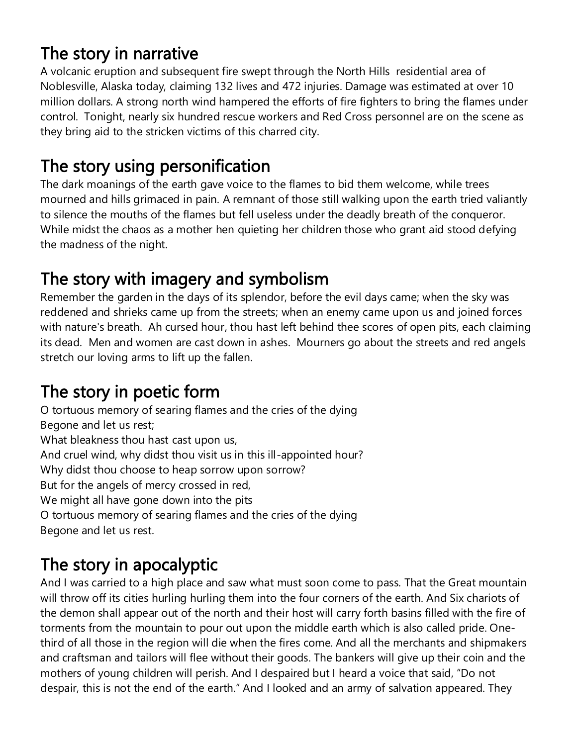#### The story in narrative

A volcanic eruption and subsequent fire swept through the North Hills residential area of Noblesville, Alaska today, claiming 132 lives and 472 injuries. Damage was estimated at over 10 million dollars. A strong north wind hampered the efforts of fire fighters to bring the flames under control. Tonight, nearly six hundred rescue workers and Red Cross personnel are on the scene as they bring aid to the stricken victims of this charred city.

#### The story using personification

The dark moanings of the earth gave voice to the flames to bid them welcome, while trees mourned and hills grimaced in pain. A remnant of those still walking upon the earth tried valiantly to silence the mouths of the flames but fell useless under the deadly breath of the conqueror. While midst the chaos as a mother hen quieting her children those who grant aid stood defying the madness of the night.

## The story with imagery and symbolism

Remember the garden in the days of its splendor, before the evil days came; when the sky was reddened and shrieks came up from the streets; when an enemy came upon us and joined forces with nature's breath. Ah cursed hour, thou hast left behind thee scores of open pits, each claiming its dead. Men and women are cast down in ashes. Mourners go about the streets and red angels stretch our loving arms to lift up the fallen.

## The story in poetic form

O tortuous memory of searing flames and the cries of the dying Begone and let us rest; What bleakness thou hast cast upon us, And cruel wind, why didst thou visit us in this ill-appointed hour? Why didst thou choose to heap sorrow upon sorrow? But for the angels of mercy crossed in red, We might all have gone down into the pits O tortuous memory of searing flames and the cries of the dying Begone and let us rest.

# The story in apocalyptic

And I was carried to a high place and saw what must soon come to pass. That the Great mountain will throw off its cities hurling hurling them into the four corners of the earth. And Six chariots of the demon shall appear out of the north and their host will carry forth basins filled with the fire of torments from the mountain to pour out upon the middle earth which is also called pride. Onethird of all those in the region will die when the fires come. And all the merchants and shipmakers and craftsman and tailors will flee without their goods. The bankers will give up their coin and the mothers of young children will perish. And I despaired but I heard a voice that said, "Do not despair, this is not the end of the earth." And I looked and an army of salvation appeared. They